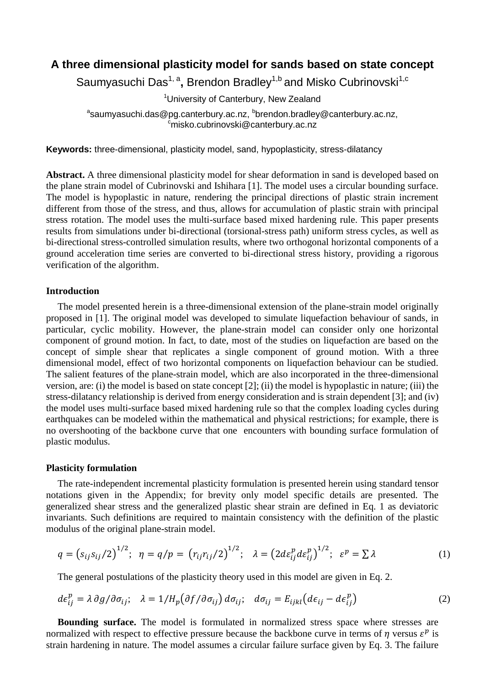# **A three dimensional plasticity model for sands based on state concept**

Saumyasuchi Das<sup>1, a</sup>, Brendon Bradley<sup>1,b</sup> and Misko Cubrinovski<sup>1,c</sup>

<sup>1</sup>University of Canterbury, New Zealand

<sup>a</sup>saumyasuchi.das@pg.canterbury.ac.nz, <sup>b</sup>brendon.bradley@canterbury.ac.nz, <sup>c</sup>misko.cubrinovski@canterbury.ac.nz

**Keywords:** three-dimensional, plasticity model, sand, hypoplasticity, stress-dilatancy

**Abstract.** A three dimensional plasticity model for shear deformation in sand is developed based on the plane strain model of Cubrinovski and Ishihara [1]. The model uses a circular bounding surface. The model is hypoplastic in nature, rendering the principal directions of plastic strain increment different from those of the stress, and thus, allows for accumulation of plastic strain with principal stress rotation. The model uses the multi-surface based mixed hardening rule. This paper presents results from simulations under bi-directional (torsional-stress path) uniform stress cycles, as well as bi-directional stress-controlled simulation results, where two orthogonal horizontal components of a ground acceleration time series are converted to bi-directional stress history, providing a rigorous verification of the algorithm.

## **Introduction**

The model presented herein is a three-dimensional extension of the plane-strain model originally proposed in [1]. The original model was developed to simulate liquefaction behaviour of sands, in particular, cyclic mobility. However, the plane-strain model can consider only one horizontal component of ground motion. In fact, to date, most of the studies on liquefaction are based on the concept of simple shear that replicates a single component of ground motion. With a three dimensional model, effect of two horizontal components on liquefaction behaviour can be studied. The salient features of the plane-strain model, which are also incorporated in the three-dimensional version, are: (i) the model is based on state concept [2]; (ii) the model is hypoplastic in nature; (iii) the stress-dilatancy relationship is derived from energy consideration and is strain dependent [3]; and (iv) the model uses multi-surface based mixed hardening rule so that the complex loading cycles during earthquakes can be modeled within the mathematical and physical restrictions; for example, there is no overshooting of the backbone curve that one encounters with bounding surface formulation of plastic modulus.

### **Plasticity formulation**

The rate-independent incremental plasticity formulation is presented herein using standard tensor notations given in the Appendix; for brevity only model specific details are presented. The generalized shear stress and the generalized plastic shear strain are defined in Eq. 1 as deviatoric invariants. Such definitions are required to maintain consistency with the definition of the plastic modulus of the original plane-strain model.

$$
q = (s_{ij}s_{ij}/2)^{1/2}; \ \eta = q/p = (r_{ij}r_{ij}/2)^{1/2}; \ \lambda = (2d\varepsilon_{ij}^p d\varepsilon_{ij}^p)^{1/2}; \ \varepsilon^p = \sum \lambda
$$
 (1)

The general postulations of the plasticity theory used in this model are given in Eq. 2.

$$
d\epsilon_{ij}^p = \lambda \partial g / \partial \sigma_{ij}; \quad \lambda = 1 / H_p \big( \partial f / \partial \sigma_{ij} \big) d\sigma_{ij}; \quad d\sigma_{ij} = E_{ijkl} \big( d\epsilon_{ij} - d\epsilon_{ij}^p \big)
$$
(2)

**Bounding surface.** The model is formulated in normalized stress space where stresses are normalized with respect to effective pressure because the backbone curve in terms of  $\eta$  versus  $\varepsilon^p$  is strain hardening in nature. The model assumes a circular failure surface given by Eq. 3. The failure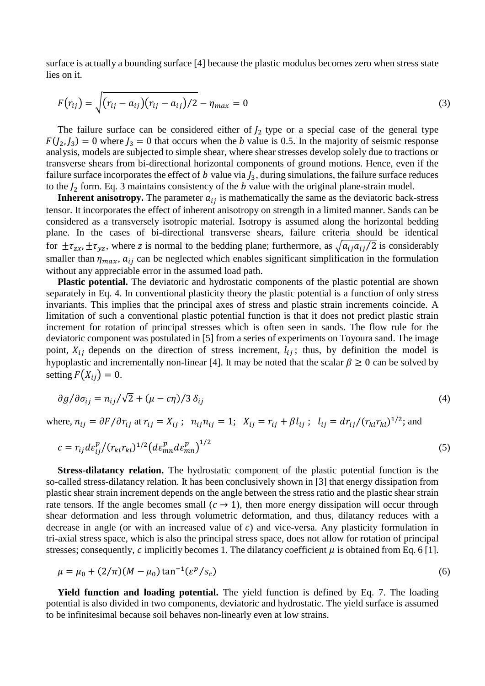surface is actually a bounding surface [4] because the plastic modulus becomes zero when stress state lies on it.

$$
F(r_{ij}) = \sqrt{(r_{ij} - a_{ij})(r_{ij} - a_{ij})/2} - \eta_{max} = 0
$$
\n(3)

The failure surface can be considered either of  $J_2$  type or a special case of the general type  $F(J_2, J_3) = 0$  where  $J_3 = 0$  that occurs when the b value is 0.5. In the majority of seismic response analysis, models are subjected to simple shear, where shear stresses develop solely due to tractions or transverse shears from bi-directional horizontal components of ground motions. Hence, even if the failure surface incorporates the effect of b value via  $J_3$ , during simulations, the failure surface reduces to the  $J_2$  form. Eq. 3 maintains consistency of the b value with the original plane-strain model.

**Inherent anisotropy.** The parameter  $a_{ij}$  is mathematically the same as the deviatoric back-stress tensor. It incorporates the effect of inherent anisotropy on strength in a limited manner. Sands can be considered as a transversely isotropic material. Isotropy is assumed along the horizontal bedding plane. In the cases of bi-directional transverse shears, failure criteria should be identical for  $\pm \tau_{zx}$ ,  $\pm \tau_{yz}$ , where z is normal to the bedding plane; furthermore, as  $\sqrt{a_{ij}a_{ij}/2}$  is considerably smaller than  $\eta_{max}$ ,  $a_{ij}$  can be neglected which enables significant simplification in the formulation without any appreciable error in the assumed load path.

**Plastic potential.** The deviatoric and hydrostatic components of the plastic potential are shown separately in Eq. 4. In conventional plasticity theory the plastic potential is a function of only stress invariants. This implies that the principal axes of stress and plastic strain increments coincide. A limitation of such a conventional plastic potential function is that it does not predict plastic strain increment for rotation of principal stresses which is often seen in sands. The flow rule for the deviatoric component was postulated in [5] from a series of experiments on Toyoura sand. The image point,  $X_{ij}$  depends on the direction of stress increment,  $l_{ij}$ ; thus, by definition the model is hypoplastic and incrementally non-linear [4]. It may be noted that the scalar  $\beta \ge 0$  can be solved by setting  $F(X_{ii}) = 0$ .

$$
\frac{\partial g}{\partial \sigma_{ij}} = n_{ij}/\sqrt{2} + (\mu - c\eta)/3 \,\delta_{ij} \tag{4}
$$

where,  $n_{ij} = \partial F / \partial r_{ij}$  at  $r_{ij} = X_{ij}$ ;  $n_{ij} n_{ij} = 1$ ;  $X_{ij} = r_{ij} + \beta l_{ij}$ ;  $l_{ij} = dr_{ij} / (r_{kl} r_{kl})^{1/2}$ ; and

$$
c = r_{ij} d\varepsilon_{ij}^p / (r_{kl} r_{kl})^{1/2} \left( d\varepsilon_{mn}^p d\varepsilon_{mn}^p \right)^{1/2} \tag{5}
$$

**Stress-dilatancy relation.** The hydrostatic component of the plastic potential function is the so-called stress-dilatancy relation. It has been conclusively shown in [3] that energy dissipation from plastic shear strain increment depends on the angle between the stress ratio and the plastic shear strain rate tensors. If the angle becomes small  $(c \to 1)$ , then more energy dissipation will occur through shear deformation and less through volumetric deformation, and thus, dilatancy reduces with a decrease in angle (or with an increased value of  $c$ ) and vice-versa. Any plasticity formulation in tri-axial stress space, which is also the principal stress space, does not allow for rotation of principal stresses; consequently, c implicitly becomes 1. The dilatancy coefficient  $\mu$  is obtained from Eq. 6 [1].

$$
\mu = \mu_0 + (2/\pi)(M - \mu_0) \tan^{-1}(\varepsilon^p / s_c) \tag{6}
$$

**Yield function and loading potential.** The yield function is defined by Eq. 7. The loading potential is also divided in two components, deviatoric and hydrostatic. The yield surface is assumed to be infinitesimal because soil behaves non-linearly even at low strains.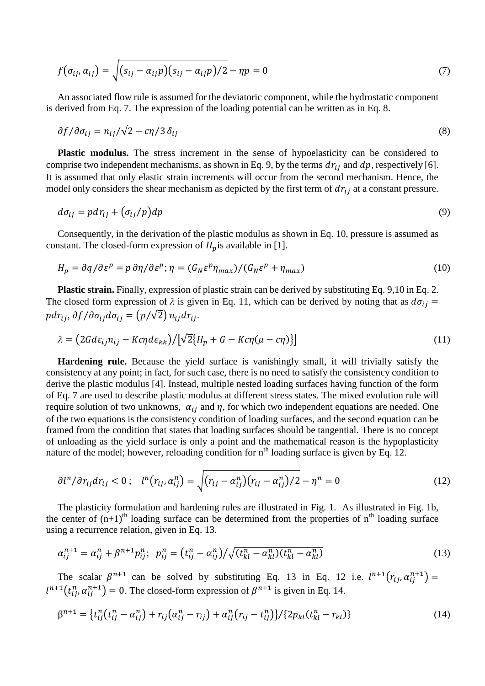$$
f(\sigma_{ij}, \alpha_{ij}) = \sqrt{(s_{ij} - \alpha_{ij}p)(s_{ij} - \alpha_{ij}p)/2} - \eta p = 0
$$
\n(7)

An associated flow rule is assumed for the deviatoric component, while the hydrostatic component is derived from Eq. 7. The expression of the loading potential can be written as in Eq. 8.

$$
\partial f / \partial \sigma_{ij} = n_{ij} / \sqrt{2} - c \eta / 3 \delta_{ij}
$$
\n(8)

**Plastic modulus.** The stress increment in the sense of hypoelasticity can be considered to comprise two independent mechanisms, as shown in Eq. 9, by the terms  $dr_{ij}$  and  $dp$ , respectively [6]. It is assumed that only elastic strain increments will occur from the second mechanism. Hence, the model only considers the shear mechanism as depicted by the first term of  $dr_{ij}$  at a constant pressure.

$$
d\sigma_{ij} = p dr_{ij} + (\sigma_{ij}/p) dp \tag{9}
$$

Consequently, in the derivation of the plastic modulus as shown in Eq. 10, pressure is assumed as constant. The closed-form expression of  $H_n$  is available in [1].

$$
H_p = \partial q / \partial \varepsilon^p = p \partial \eta / \partial \varepsilon^p; \eta = (G_N \varepsilon^p \eta_{max}) / (G_N \varepsilon^p + \eta_{max})
$$
\n(10)

**Plastic strain.** Finally, expression of plastic strain can be derived by substituting Eq. 9,10 in Eq. 2. The closed form expression of  $\lambda$  is given in Eq. 11, which can be derived by noting that as  $d\sigma_{ij}$  =  $pdr_{ij}, \partial f/\partial \sigma_{ij}d\sigma_{ij} = (p/\sqrt{2}) n_{ij}dr_{ij}.$ 

$$
\lambda = (2Gd\varepsilon_{ij}n_{ij} - Kc\eta d\varepsilon_{kk})/[\sqrt{2}\{H_p + G - Kc\eta(\mu - c\eta)\}]
$$
\n(11)

**Hardening rule.** Because the yield surface is vanishingly small, it will trivially satisfy the consistency at any point; in fact, for such case, there is no need to satisfy the consistency condition to derive the plastic modulus [4]. Instead, multiple nested loading surfaces having function of the form of Eq. 7 are used to describe plastic modulus at different stress states. The mixed evolution rule will require solution of two unknowns,  $\alpha_{ij}$  and  $\eta$ , for which two independent equations are needed. One of the two equations is the consistency condition of loading surfaces, and the second equation can be framed from the condition that states that loading surfaces should be tangential. There is no concept of unloading as the yield surface is only a point and the mathematical reason is the hypoplasticity nature of the model; however, reloading condition for  $n<sup>th</sup>$  loading surface is given by Eq. 12.

$$
\partial l^{n} / \partial r_{ij} dr_{ij} < 0 \, ; \quad l^{n} \big( r_{ij}, \alpha_{ij}^{n} \big) = \sqrt{(r_{ij} - \alpha_{ij}^{n})(r_{ij} - \alpha_{ij}^{n})/2} - \eta^{n} = 0 \tag{12}
$$

The plasticity formulation and hardening rules are illustrated in Fig. 1. As illustrated in Fig. 1b, the center of  $(n+1)^{th}$  loading surface can be determined from the properties of  $n^{th}$  loading surface using a recurrence relation, given in Eq. 13.

$$
\alpha_{ij}^{n+1} = \alpha_{ij}^n + \beta^{n+1} p_{ij}^n; \ \ p_{ij}^n = (t_{ij}^n - \alpha_{ij}^n) / \sqrt{(t_{kl}^n - \alpha_{kl}^n)(t_{kl}^n - \alpha_{kl}^n)}
$$
(13)

The scalar  $\beta^{n+1}$  can be solved by substituting Eq. 13 in Eq. 12 i.e.  $l^{n+1}(r_{ij}, \alpha_{ij}^{n+1})$  $l^{n+1}(t_{ij}^n, \alpha_{ij}^{n+1}) = 0$ . The closed-form expression of  $\beta^{n+1}$  is given in Eq. 14.

$$
\beta^{n+1} = \{t_{ij}^n(t_{ij}^n - \alpha_{ij}^n) + r_{ij}(\alpha_{ij}^n - r_{ij}) + \alpha_{ij}^n(r_{ij} - t_{ij}^n)\}/\{2p_{kl}(t_{kl}^n - r_{kl})\}\
$$
(14)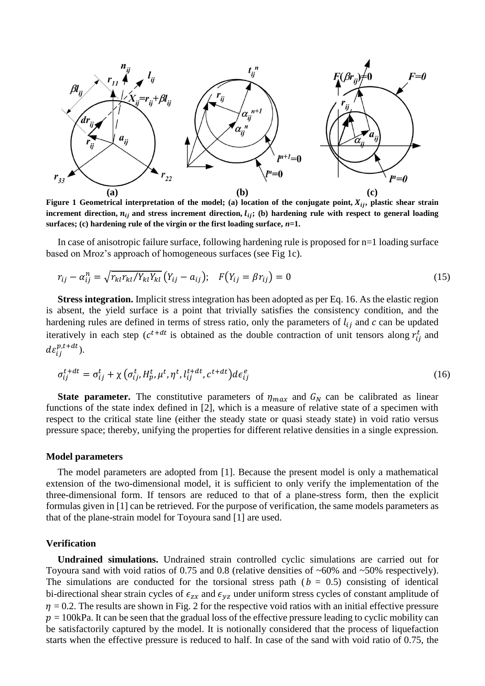

**Figure 1** Geometrical interpretation of the model; (a) location of the conjugate point,  $X_{ij}$ , plastic shear strain increment direction,  $n_{ij}$  and stress increment direction,  $l_{ij}$ ; (b) hardening rule with respect to general loading **surfaces; (c) hardening rule of the virgin or the first loading surface,** *n=***1.**

In case of anisotropic failure surface, following hardening rule is proposed for n=1 loading surface based on Mroz's approach of homogeneous surfaces (see Fig 1c).

$$
r_{ij} - \alpha_{ij}^n = \sqrt{r_{kl} r_{kl} / Y_{kl} Y_{kl}} (Y_{ij} - a_{ij}); \quad F(Y_{ij} = \beta r_{ij}) = 0
$$
 (15)

**Stress integration.** Implicit stress integration has been adopted as per Eq. 16. As the elastic region is absent, the yield surface is a point that trivially satisfies the consistency condition, and the hardening rules are defined in terms of stress ratio, only the parameters of  $l_{ij}$  and c can be updated iteratively in each step ( $c^{t+dt}$  is obtained as the double contraction of unit tensors along  $r_{ii}^t$  and  $de_{ii}^{p,t+dt}$ ).

$$
\sigma_{ij}^{t+dt} = \sigma_{ij}^t + \chi \left( \sigma_{ij}^t, H_p^t, \mu^t, \eta^t, l_{ij}^{t+dt}, c^{t+dt} \right) d\epsilon_{ij}^e \tag{16}
$$

**State parameter.** The constitutive parameters of  $\eta_{max}$  and  $G_N$  can be calibrated as linear functions of the state index defined in [2], which is a measure of relative state of a specimen with respect to the critical state line (either the steady state or quasi steady state) in void ratio versus pressure space; thereby, unifying the properties for different relative densities in a single expression.

#### **Model parameters**

The model parameters are adopted from [1]. Because the present model is only a mathematical extension of the two-dimensional model, it is sufficient to only verify the implementation of the three-dimensional form. If tensors are reduced to that of a plane-stress form, then the explicit formulas given in [1] can be retrieved. For the purpose of verification, the same models parameters as that of the plane-strain model for Toyoura sand [1] are used.

### **Verification**

**Undrained simulations.** Undrained strain controlled cyclic simulations are carried out for Toyoura sand with void ratios of 0.75 and 0.8 (relative densities of ~60% and ~50% respectively). The simulations are conducted for the torsional stress path ( $b = 0.5$ ) consisting of identical bi-directional shear strain cycles of  $\epsilon_{zx}$  and  $\epsilon_{yz}$  under uniform stress cycles of constant amplitude of  $\eta$  = 0.2. The results are shown in Fig. 2 for the respective void ratios with an initial effective pressure  $p = 100kPa$ . It can be seen that the gradual loss of the effective pressure leading to cyclic mobility can be satisfactorily captured by the model. It is notionally considered that the process of liquefaction starts when the effective pressure is reduced to half. In case of the sand with void ratio of 0.75, the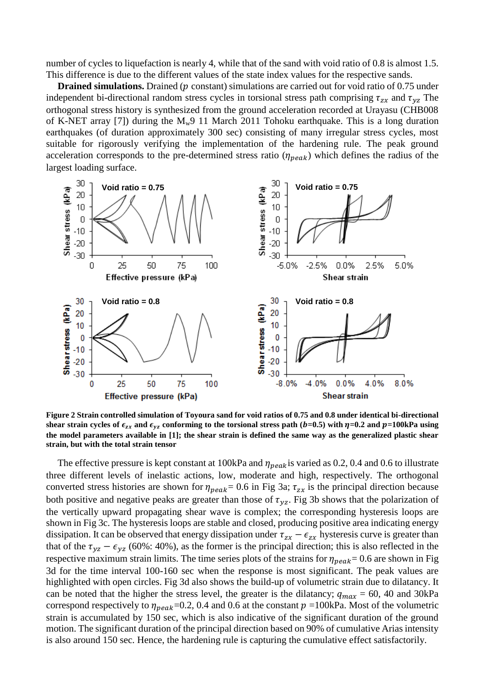number of cycles to liquefaction is nearly 4, while that of the sand with void ratio of 0.8 is almost 1.5. This difference is due to the different values of the state index values for the respective sands.

**Drained simulations.** Drained (p constant) simulations are carried out for void ratio of 0.75 under independent bi-directional random stress cycles in torsional stress path comprising  $\tau_{zx}$  and  $\tau_{yz}$  The orthogonal stress history is synthesized from the ground acceleration recorded at Urayasu (CHB008 of K-NET array [7]) during the  $M_w9$  11 March 2011 Tohoku earthquake. This is a long duration earthquakes (of duration approximately 300 sec) consisting of many irregular stress cycles, most suitable for rigorously verifying the implementation of the hardening rule. The peak ground acceleration corresponds to the pre-determined stress ratio  $(\eta_{peak})$  which defines the radius of the largest loading surface.



**Figure 2 Strain controlled simulation of Toyoura sand for void ratios of 0.75 and 0.8 under identical bi-directional**  shear strain cycles of  $\epsilon_{zx}$  and  $\epsilon_{yz}$  conforming to the torsional stress path ( $b=0.5$ ) with  $\eta=0.2$  and  $p=100$ kPa using **the model parameters available in [1]; the shear strain is defined the same way as the generalized plastic shear strain, but with the total strain tensor**

The effective pressure is kept constant at 100kPa and  $\eta_{peak}$  is varied as 0.2, 0.4 and 0.6 to illustrate three different levels of inelastic actions, low, moderate and high, respectively. The orthogonal converted stress histories are shown for  $\eta_{peak} = 0.6$  in Fig 3a;  $\tau_{zx}$  is the principal direction because both positive and negative peaks are greater than those of  $\tau_{yz}$ . Fig 3b shows that the polarization of the vertically upward propagating shear wave is complex; the corresponding hysteresis loops are shown in Fig 3c. The hysteresis loops are stable and closed, producing positive area indicating energy dissipation. It can be observed that energy dissipation under  $\tau_{zx} - \epsilon_{zx}$  hysteresis curve is greater than that of the  $\tau_{yz} - \epsilon_{yz}$  (60%: 40%), as the former is the principal direction; this is also reflected in the respective maximum strain limits. The time series plots of the strains for  $\eta_{peak} = 0.6$  are shown in Fig 3d for the time interval 100-160 sec when the response is most significant. The peak values are highlighted with open circles. Fig 3d also shows the build-up of volumetric strain due to dilatancy. It can be noted that the higher the stress level, the greater is the dilatancy;  $q_{max} = 60$ , 40 and 30kPa correspond respectively to  $\eta_{peak}$ =0.2, 0.4 and 0.6 at the constant  $p =100$ kPa. Most of the volumetric strain is accumulated by 150 sec, which is also indicative of the significant duration of the ground motion. The significant duration of the principal direction based on 90% of cumulative Arias intensity is also around 150 sec. Hence, the hardening rule is capturing the cumulative effect satisfactorily.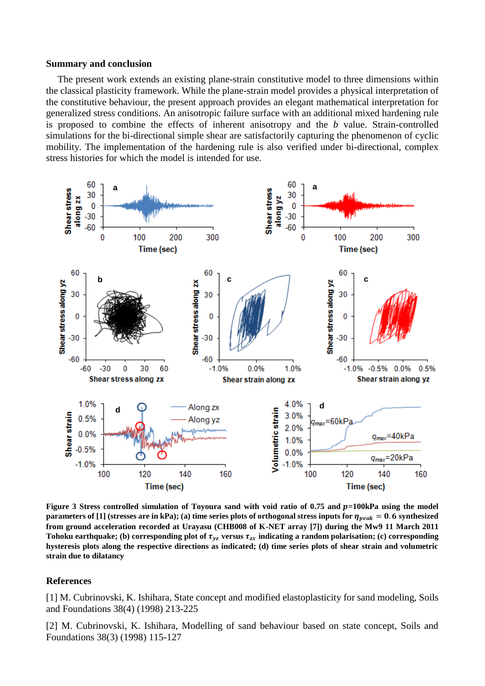#### **Summary and conclusion**

The present work extends an existing plane-strain constitutive model to three dimensions within the classical plasticity framework. While the plane-strain model provides a physical interpretation of the constitutive behaviour, the present approach provides an elegant mathematical interpretation for generalized stress conditions. An anisotropic failure surface with an additional mixed hardening rule is proposed to combine the effects of inherent anisotropy and the *b* value. Strain-controlled simulations for the bi-directional simple shear are satisfactorily capturing the phenomenon of cyclic mobility. The implementation of the hardening rule is also verified under bi-directional, complex stress histories for which the model is intended for use.



Figure 3 Stress controlled simulation of Toyoura sand with void ratio of 0.75 and p=100kPa using the model **parameters of [1]** (stresses are in kPa); (a) time series plots of orthogonal stress inputs for  $\eta_{peak} = 0.6$  synthesized **from ground acceleration recorded at Urayasu (CHB008 of K-NET array [7]) during the Mw9 11 March 2011**  Tohoku earthquake; (b) corresponding plot of  $\tau_{yz}$  versus  $\tau_{zx}$  indicating a random polarisation; (c) corresponding **hysteresis plots along the respective directions as indicated; (d) time series plots of shear strain and volumetric strain due to dilatancy**

## **References**

[1] M. Cubrinovski, K. Ishihara, State concept and modified elastoplasticity for sand modeling, Soils and Foundations 38(4) (1998) 213-225

[2] M. Cubrinovski, K. Ishihara, Modelling of sand behaviour based on state concept, Soils and Foundations 38(3) (1998) 115-127